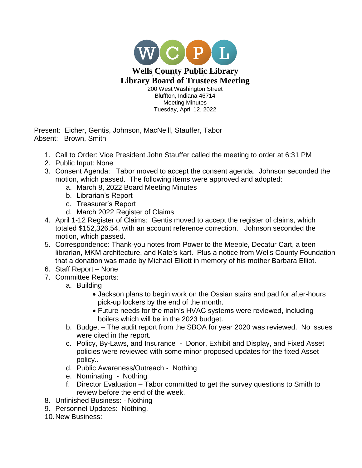

Present: Eicher, Gentis, Johnson, MacNeill, Stauffer, Tabor Absent: Brown, Smith

- 1. Call to Order: Vice President John Stauffer called the meeting to order at 6:31 PM
- 2. Public Input: None
- 3. Consent Agenda: Tabor moved to accept the consent agenda. Johnson seconded the motion, which passed. The following items were approved and adopted:
	- a. March 8, 2022 Board Meeting Minutes
	- b. Librarian's Report
	- c. Treasurer's Report
	- d. March 2022 Register of Claims
- 4. April 1-12 Register of Claims: Gentis moved to accept the register of claims, which totaled \$152,326.54, with an account reference correction. Johnson seconded the motion, which passed.
- 5. Correspondence: Thank-you notes from Power to the Meeple, Decatur Cart, a teen librarian, MKM architecture, and Kate's kart. Plus a notice from Wells County Foundation that a donation was made by Michael Elliott in memory of his mother Barbara Elliot.
- 6. Staff Report None
- 7. Committee Reports:
	- a. Building
		- Jackson plans to begin work on the Ossian stairs and pad for after-hours pick-up lockers by the end of the month.
		- Future needs for the main's HVAC systems were reviewed, including boilers which will be in the 2023 budget.
	- b. Budget The audit report from the SBOA for year 2020 was reviewed. No issues were cited in the report.
	- c. Policy, By-Laws, and Insurance Donor, Exhibit and Display, and Fixed Asset policies were reviewed with some minor proposed updates for the fixed Asset policy..
	- d. Public Awareness/Outreach Nothing
	- e. Nominating Nothing
	- f. Director Evaluation Tabor committed to get the survey questions to Smith to review before the end of the week.
- 8. Unfinished Business: Nothing
- 9. Personnel Updates: Nothing.
- 10.New Business: